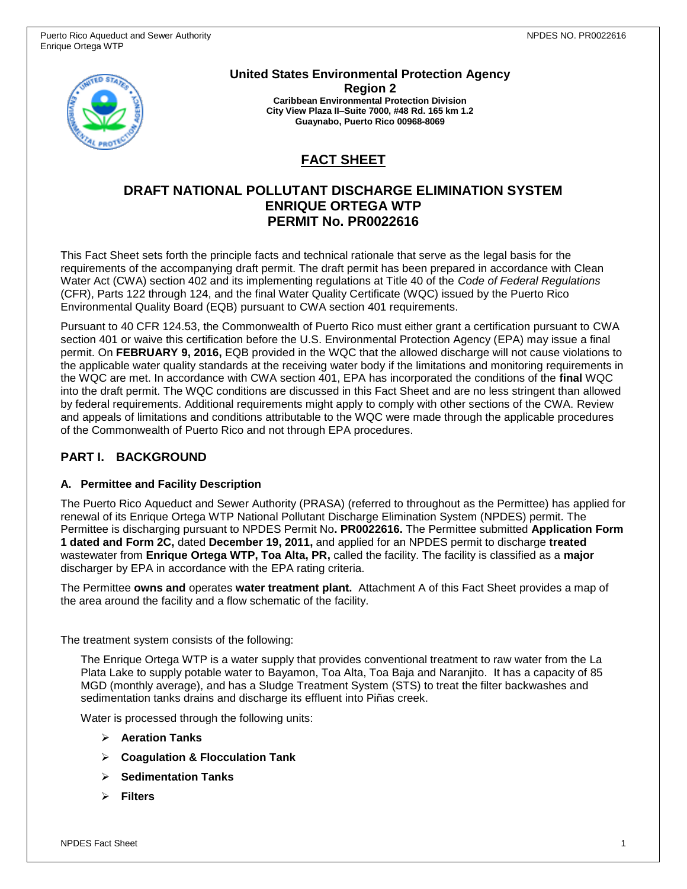

**United States Environmental Protection Agency Region 2 Caribbean Environmental Protection Division City View Plaza II–Suite 7000, #48 Rd. 165 km 1.2 Guaynabo, Puerto Rico 00968-8069**

# **FACT SHEET**

## **DRAFT NATIONAL POLLUTANT DISCHARGE ELIMINATION SYSTEM ENRIQUE ORTEGA WTP PERMIT No. PR0022616**

This Fact Sheet sets forth the principle facts and technical rationale that serve as the legal basis for the requirements of the accompanying draft permit. The draft permit has been prepared in accordance with Clean Water Act (CWA) section 402 and its implementing regulations at Title 40 of the *Code of Federal Regulations* (CFR), Parts 122 through 124, and the final Water Quality Certificate (WQC) issued by the Puerto Rico Environmental Quality Board (EQB) pursuant to CWA section 401 requirements.

Pursuant to 40 CFR 124.53, the Commonwealth of Puerto Rico must either grant a certification pursuant to CWA section 401 or waive this certification before the U.S. Environmental Protection Agency (EPA) may issue a final permit. On **FEBRUARY 9, 2016,** EQB provided in the WQC that the allowed discharge will not cause violations to the applicable water quality standards at the receiving water body if the limitations and monitoring requirements in the WQC are met. In accordance with CWA section 401, EPA has incorporated the conditions of the **final** WQC into the draft permit. The WQC conditions are discussed in this Fact Sheet and are no less stringent than allowed by federal requirements. Additional requirements might apply to comply with other sections of the CWA. Review and appeals of limitations and conditions attributable to the WQC were made through the applicable procedures of the Commonwealth of Puerto Rico and not through EPA procedures.

## **PART I. BACKGROUND**

### **A. Permittee and Facility Description**

The Puerto Rico Aqueduct and Sewer Authority (PRASA) (referred to throughout as the Permittee) has applied for renewal of its Enrique Ortega WTP National Pollutant Discharge Elimination System (NPDES) permit. The Permittee is discharging pursuant to NPDES Permit No**. PR0022616.** The Permittee submitted **Application Form 1 dated and Form 2C,** dated **December 19, 2011,** and applied for an NPDES permit to discharge **treated** wastewater from **Enrique Ortega WTP, Toa Alta, PR,** called the facility. The facility is classified as a **major**  discharger by EPA in accordance with the EPA rating criteria.

The Permittee **owns and** operates **water treatment plant.** Attachment A of this Fact Sheet provides a map of the area around the facility and a flow schematic of the facility.

The treatment system consists of the following:

The Enrique Ortega WTP is a water supply that provides conventional treatment to raw water from the La Plata Lake to supply potable water to Bayamon, Toa Alta, Toa Baja and Naranjito. It has a capacity of 85 MGD (monthly average), and has a Sludge Treatment System (STS) to treat the filter backwashes and sedimentation tanks drains and discharge its effluent into Piñas creek.

Water is processed through the following units:

- **Aeration Tanks**
- **Coagulation & Flocculation Tank**
- **Sedimentation Tanks**
- **Filters**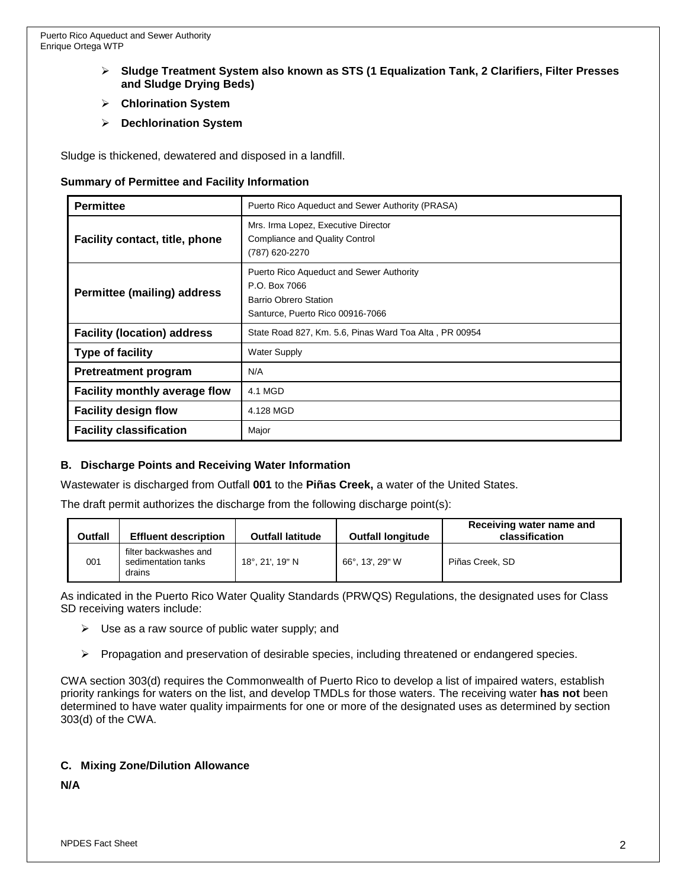- **Sludge Treatment System also known as STS (1 Equalization Tank, 2 Clarifiers, Filter Presses and Sludge Drying Beds)**
- **Chlorination System**
- **Dechlorination System**

Sludge is thickened, dewatered and disposed in a landfill.

#### **Summary of Permittee and Facility Information**

| <b>Permittee</b>                      | Puerto Rico Aqueduct and Sewer Authority (PRASA)                                                                       |  |  |  |
|---------------------------------------|------------------------------------------------------------------------------------------------------------------------|--|--|--|
| <b>Facility contact, title, phone</b> | Mrs. Irma Lopez, Executive Director<br>Compliance and Quality Control<br>(787) 620-2270                                |  |  |  |
| <b>Permittee (mailing) address</b>    | Puerto Rico Aqueduct and Sewer Authority<br>P.O. Box 7066<br>Barrio Obrero Station<br>Santurce, Puerto Rico 00916-7066 |  |  |  |
| <b>Facility (location) address</b>    | State Road 827, Km. 5.6, Pinas Ward Toa Alta, PR 00954                                                                 |  |  |  |
| <b>Type of facility</b>               | <b>Water Supply</b>                                                                                                    |  |  |  |
| <b>Pretreatment program</b>           | N/A                                                                                                                    |  |  |  |
| Facility monthly average flow         | 4.1 MGD                                                                                                                |  |  |  |
| <b>Facility design flow</b>           | 4.128 MGD                                                                                                              |  |  |  |
| <b>Facility classification</b>        | Major                                                                                                                  |  |  |  |

### **B. Discharge Points and Receiving Water Information**

Wastewater is discharged from Outfall **001** to the **Piñas Creek,** a water of the United States.

The draft permit authorizes the discharge from the following discharge point(s):

| Outfall | <b>Effluent description</b>                            | <b>Outfall latitude</b> | <b>Outfall longitude</b> | Receiving water name and<br>classification |
|---------|--------------------------------------------------------|-------------------------|--------------------------|--------------------------------------------|
| 001     | filter backwashes and<br>sedimentation tanks<br>drains | 18°, 21', 19" N         | 66°, 13', 29" W          | Piñas Creek, SD                            |

As indicated in the Puerto Rico Water Quality Standards (PRWQS) Regulations, the designated uses for Class SD receiving waters include:

- $\triangleright$  Use as a raw source of public water supply; and
- $\triangleright$  Propagation and preservation of desirable species, including threatened or endangered species.

CWA section 303(d) requires the Commonwealth of Puerto Rico to develop a list of impaired waters, establish priority rankings for waters on the list, and develop TMDLs for those waters. The receiving water **has not** been determined to have water quality impairments for one or more of the designated uses as determined by section 303(d) of the CWA.

### **C. Mixing Zone/Dilution Allowance**

**N/A**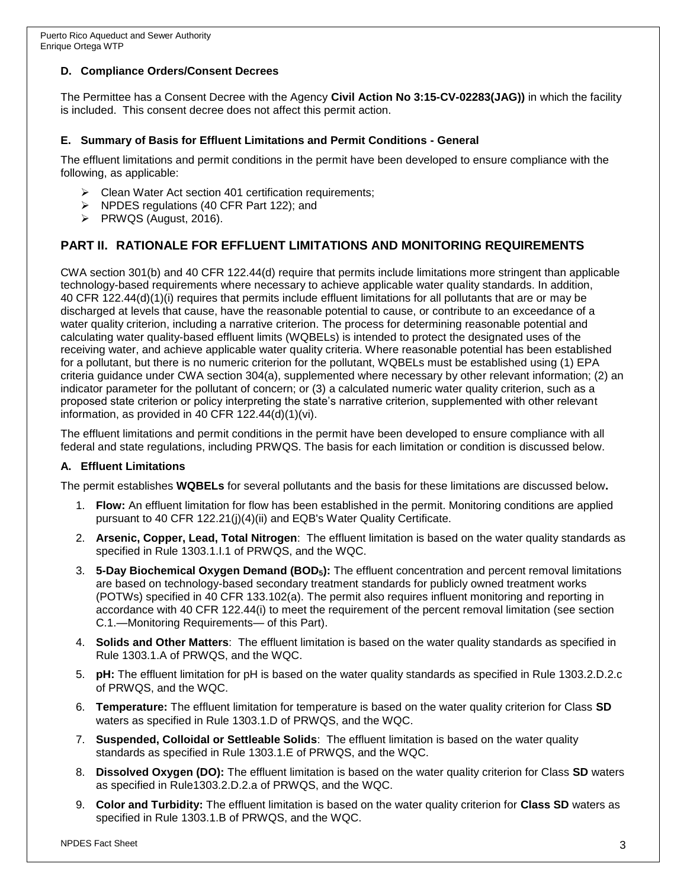### **D. Compliance Orders/Consent Decrees**

The Permittee has a Consent Decree with the Agency **Civil Action No 3:15-CV-02283(JAG))** in which the facility is included. This consent decree does not affect this permit action.

### **E. Summary of Basis for Effluent Limitations and Permit Conditions - General**

The effluent limitations and permit conditions in the permit have been developed to ensure compliance with the following, as applicable:

- $\triangleright$  Clean Water Act section 401 certification requirements;
- $\triangleright$  NPDES regulations (40 CFR Part 122); and
- $\triangleright$  PRWQS (August, 2016).

## **PART II. RATIONALE FOR EFFLUENT LIMITATIONS AND MONITORING REQUIREMENTS**

CWA section 301(b) and 40 CFR 122.44(d) require that permits include limitations more stringent than applicable technology-based requirements where necessary to achieve applicable water quality standards. In addition, 40 CFR 122.44(d)(1)(i) requires that permits include effluent limitations for all pollutants that are or may be discharged at levels that cause, have the reasonable potential to cause, or contribute to an exceedance of a water quality criterion, including a narrative criterion. The process for determining reasonable potential and calculating water quality-based effluent limits (WQBELs) is intended to protect the designated uses of the receiving water, and achieve applicable water quality criteria. Where reasonable potential has been established for a pollutant, but there is no numeric criterion for the pollutant, WQBELs must be established using (1) EPA criteria guidance under CWA section 304(a), supplemented where necessary by other relevant information; (2) an indicator parameter for the pollutant of concern; or (3) a calculated numeric water quality criterion, such as a proposed state criterion or policy interpreting the state's narrative criterion, supplemented with other relevant information, as provided in 40 CFR 122.44(d)(1)(vi).

The effluent limitations and permit conditions in the permit have been developed to ensure compliance with all federal and state regulations, including PRWQS. The basis for each limitation or condition is discussed below.

### **A. Effluent Limitations**

The permit establishes **WQBELs** for several pollutants and the basis for these limitations are discussed below**.** 

- 1. **Flow:** An effluent limitation for flow has been established in the permit. Monitoring conditions are applied pursuant to 40 CFR 122.21(j)(4)(ii) and EQB's Water Quality Certificate.
- 2. **Arsenic, Copper, Lead, Total Nitrogen**: The effluent limitation is based on the water quality standards as specified in Rule 1303.1.I.1 of PRWQS, and the WQC.
- 3. **5-Day Biochemical Oxygen Demand (BOD5):** The effluent concentration and percent removal limitations are based on technology-based secondary treatment standards for publicly owned treatment works (POTWs) specified in 40 CFR 133.102(a). The permit also requires influent monitoring and reporting in accordance with 40 CFR 122.44(i) to meet the requirement of the percent removal limitation (see section C.1.—Monitoring Requirements— of this Part).
- 4. **Solids and Other Matters**: The effluent limitation is based on the water quality standards as specified in Rule 1303.1.A of PRWQS, and the WQC.
- 5. **pH:** The effluent limitation for pH is based on the water quality standards as specified in Rule 1303.2.D.2.c of PRWQS, and the WQC.
- 6. **Temperature:** The effluent limitation for temperature is based on the water quality criterion for Class **SD** waters as specified in Rule 1303.1.D of PRWQS, and the WQC.
- 7. **Suspended, Colloidal or Settleable Solids**: The effluent limitation is based on the water quality standards as specified in Rule 1303.1.E of PRWQS, and the WQC.
- 8. **Dissolved Oxygen (DO):** The effluent limitation is based on the water quality criterion for Class **SD** waters as specified in Rule1303.2.D.2.a of PRWQS, and the WQC.
- 9. **Color and Turbidity:** The effluent limitation is based on the water quality criterion for **Class SD** waters as specified in Rule 1303.1.B of PRWQS, and the WQC.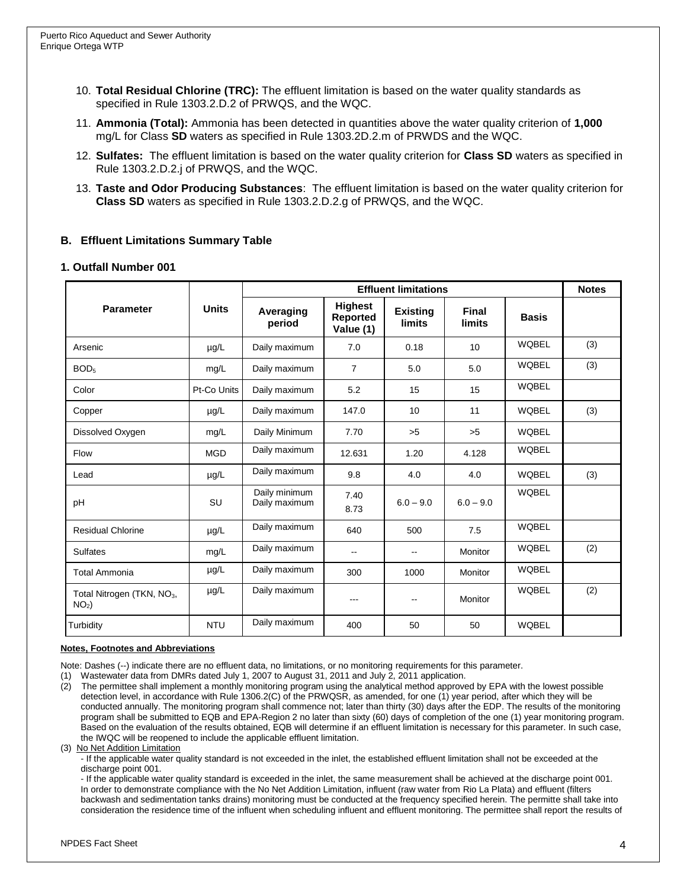- 10. **Total Residual Chlorine (TRC):** The effluent limitation is based on the water quality standards as specified in Rule 1303.2.D.2 of PRWQS, and the WQC.
- 11. **Ammonia (Total):** Ammonia has been detected in quantities above the water quality criterion of **1,000** mg/L for Class **SD** waters as specified in Rule 1303.2D.2.m of PRWDS and the WQC.
- 12. **Sulfates:** The effluent limitation is based on the water quality criterion for **Class SD** waters as specified in Rule 1303.2.D.2.j of PRWQS, and the WQC.
- 13. **Taste and Odor Producing Substances**: The effluent limitation is based on the water quality criterion for **Class SD** waters as specified in Rule 1303.2.D.2.g of PRWQS, and the WQC.

### **B. Effluent Limitations Summary Table**

#### **1. Outfall Number 001**

|                                                   | <b>Units</b> | <b>Effluent limitations</b>    |                                         |                                  |                               |              | <b>Notes</b> |
|---------------------------------------------------|--------------|--------------------------------|-----------------------------------------|----------------------------------|-------------------------------|--------------|--------------|
| <b>Parameter</b>                                  |              | Averaging<br>period            | <b>Highest</b><br>Reported<br>Value (1) | <b>Existing</b><br><b>limits</b> | <b>Final</b><br><b>limits</b> | <b>Basis</b> |              |
| Arsenic                                           | $\mu$ g/L    | Daily maximum                  | 7.0                                     | 0.18                             | 10                            | <b>WOBEL</b> | (3)          |
| BOD <sub>5</sub>                                  | mg/L         | Daily maximum                  | $\overline{7}$                          | 5.0                              | 5.0                           | <b>WQBEL</b> | (3)          |
| Color                                             | Pt-Co Units  | Daily maximum                  | 5.2                                     | 15                               | 15                            | <b>WQBEL</b> |              |
| Copper                                            | $\mu$ g/L    | Daily maximum                  | 147.0                                   | 10                               | 11                            | <b>WQBEL</b> | (3)          |
| Dissolved Oxygen                                  | mg/L         | Daily Minimum                  | 7.70                                    | >5                               | >5                            | <b>WQBEL</b> |              |
| Flow                                              | <b>MGD</b>   | Daily maximum                  | 12.631                                  | 1.20                             | 4.128                         | <b>WQBEL</b> |              |
| Lead                                              | $\mu$ g/L    | Daily maximum                  | 9.8                                     | 4.0                              | 4.0                           | <b>WQBEL</b> | (3)          |
| pH                                                | SU           | Daily minimum<br>Daily maximum | 7.40<br>8.73                            | $6.0 - 9.0$                      | $6.0 - 9.0$                   | <b>WQBEL</b> |              |
| <b>Residual Chlorine</b>                          | $\mu$ g/L    | Daily maximum                  | 640                                     | 500                              | 7.5                           | <b>WQBEL</b> |              |
| <b>Sulfates</b>                                   | mg/L         | Daily maximum                  | $\mathbf{u}$                            |                                  | Monitor                       | <b>WQBEL</b> | (2)          |
| <b>Total Ammonia</b>                              | µg/L         | Daily maximum                  | 300                                     | 1000                             | Monitor                       | <b>WQBEL</b> |              |
| Total Nitrogen (TKN, NO <sub>3</sub> ,<br>$NO2$ ) | µg/L         | Daily maximum                  | ---                                     |                                  | Monitor                       | <b>WQBEL</b> | (2)          |
| Turbidity                                         | <b>NTU</b>   | Daily maximum                  | 400                                     | 50                               | 50                            | <b>WQBEL</b> |              |

#### **Notes, Footnotes and Abbreviations**

Note: Dashes (--) indicate there are no effluent data, no limitations, or no monitoring requirements for this parameter.

(1) Wastewater data from DMRs dated July 1, 2007 to August 31, 2011 and July 2, 2011 application.

(2) The permittee shall implement a monthly monitoring program using the analytical method approved by EPA with the lowest possible detection level, in accordance with Rule 1306.2(C) of the PRWQSR, as amended, for one (1) year period, after which they will be conducted annually. The monitoring program shall commence not; later than thirty (30) days after the EDP. The results of the monitoring program shall be submitted to EQB and EPA-Region 2 no later than sixty (60) days of completion of the one (1) year monitoring program. Based on the evaluation of the results obtained, EQB will determine if an effluent limitation is necessary for this parameter. In such case, the IWQC will be reopened to include the applicable effluent limitation.

#### (3) No Net Addition Limitation

- If the applicable water quality standard is not exceeded in the inlet, the established effluent limitation shall not be exceeded at the discharge point 001.

- If the applicable water quality standard is exceeded in the inlet, the same measurement shall be achieved at the discharge point 001. In order to demonstrate compliance with the No Net Addition Limitation, influent (raw water from Rio La Plata) and effluent (filters backwash and sedimentation tanks drains) monitoring must be conducted at the frequency specified herein. The permitte shall take into consideration the residence time of the influent when scheduling influent and effluent monitoring. The permittee shall report the results of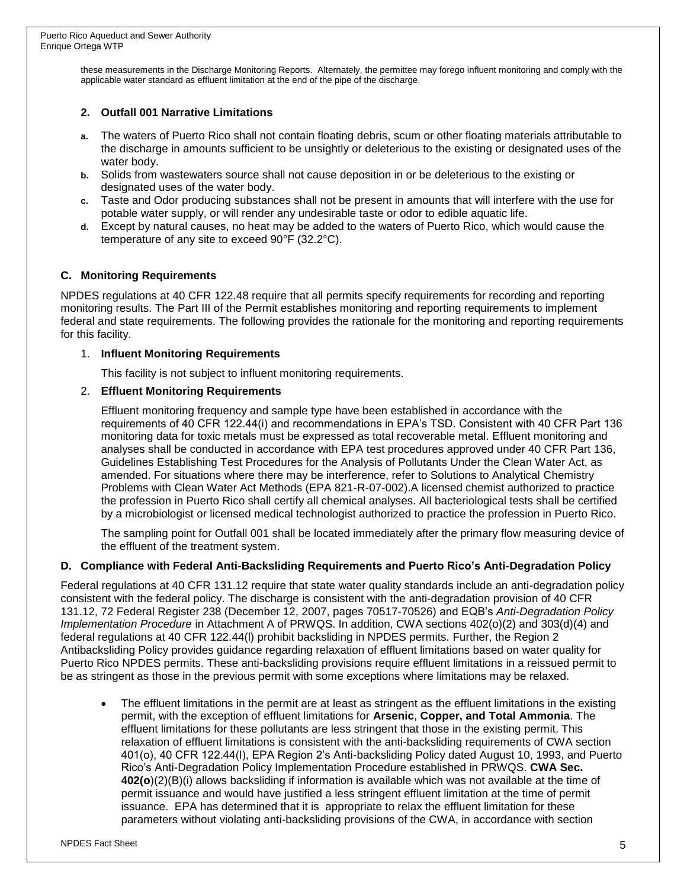these measurements in the Discharge Monitoring Reports. Alternately, the permittee may forego influent monitoring and comply with the applicable water standard as effluent limitation at the end of the pipe of the discharge.

### **2. Outfall 001 Narrative Limitations**

- **a.** The waters of Puerto Rico shall not contain floating debris, scum or other floating materials attributable to the discharge in amounts sufficient to be unsightly or deleterious to the existing or designated uses of the water body.
- **b.** Solids from wastewaters source shall not cause deposition in or be deleterious to the existing or designated uses of the water body.
- **c.** Taste and Odor producing substances shall not be present in amounts that will interfere with the use for potable water supply, or will render any undesirable taste or odor to edible aquatic life.
- **d.** Except by natural causes, no heat may be added to the waters of Puerto Rico, which would cause the temperature of any site to exceed 90°F (32.2°C).

### **C. Monitoring Requirements**

NPDES regulations at 40 CFR 122.48 require that all permits specify requirements for recording and reporting monitoring results. The Part III of the Permit establishes monitoring and reporting requirements to implement federal and state requirements. The following provides the rationale for the monitoring and reporting requirements for this facility.

### 1. **Influent Monitoring Requirements**

This facility is not subject to influent monitoring requirements.

### 2. **Effluent Monitoring Requirements**

Effluent monitoring frequency and sample type have been established in accordance with the requirements of 40 CFR 122.44(i) and recommendations in EPA's TSD. Consistent with 40 CFR Part 136 monitoring data for toxic metals must be expressed as total recoverable metal. Effluent monitoring and analyses shall be conducted in accordance with EPA test procedures approved under 40 CFR Part 136, Guidelines Establishing Test Procedures for the Analysis of Pollutants Under the Clean Water Act, as amended. For situations where there may be interference, refer to Solutions to Analytical Chemistry Problems with Clean Water Act Methods (EPA 821-R-07-002).A licensed chemist authorized to practice the profession in Puerto Rico shall certify all chemical analyses. All bacteriological tests shall be certified by a microbiologist or licensed medical technologist authorized to practice the profession in Puerto Rico.

The sampling point for Outfall 001 shall be located immediately after the primary flow measuring device of the effluent of the treatment system.

### **D. Compliance with Federal Anti-Backsliding Requirements and Puerto Rico's Anti-Degradation Policy**

Federal regulations at 40 CFR 131.12 require that state water quality standards include an anti-degradation policy consistent with the federal policy. The discharge is consistent with the anti-degradation provision of 40 CFR 131.12, 72 Federal Register 238 (December 12, 2007, pages 70517-70526) and EQB's *Anti-Degradation Policy Implementation Procedure* in Attachment A of PRWQS. In addition, CWA sections 402(o)(2) and 303(d)(4) and federal regulations at 40 CFR 122.44(l) prohibit backsliding in NPDES permits. Further, the Region 2 Antibacksliding Policy provides guidance regarding relaxation of effluent limitations based on water quality for Puerto Rico NPDES permits. These anti-backsliding provisions require effluent limitations in a reissued permit to be as stringent as those in the previous permit with some exceptions where limitations may be relaxed.

 The effluent limitations in the permit are at least as stringent as the effluent limitations in the existing permit, with the exception of effluent limitations for **Arsenic**, **Copper, and Total Ammonia**. The effluent limitations for these pollutants are less stringent that those in the existing permit. This relaxation of effluent limitations is consistent with the anti-backsliding requirements of CWA section 401(o), 40 CFR 122.44(l), EPA Region 2's Anti-backsliding Policy dated August 10, 1993, and Puerto Rico's Anti-Degradation Policy Implementation Procedure established in PRWQS. **CWA Sec. 402(o**)(2)(B)(i) allows backsliding if information is available which was not available at the time of permit issuance and would have justified a less stringent effluent limitation at the time of permit issuance. EPA has determined that it is appropriate to relax the effluent limitation for these parameters without violating anti-backsliding provisions of the CWA, in accordance with section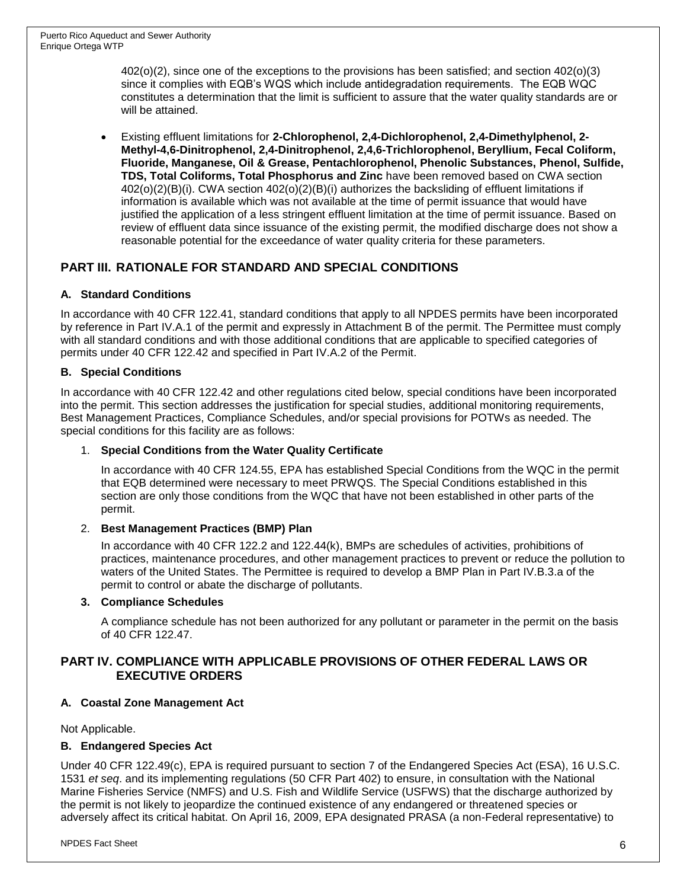402(o)(2), since one of the exceptions to the provisions has been satisfied; and section 402(o)(3) since it complies with EQB's WQS which include antidegradation requirements. The EQB WQC constitutes a determination that the limit is sufficient to assure that the water quality standards are or will be attained.

 Existing effluent limitations for **2-Chlorophenol, 2,4-Dichlorophenol, 2,4-Dimethylphenol, 2- Methyl-4,6-Dinitrophenol, 2,4-Dinitrophenol, 2,4,6-Trichlorophenol, Beryllium, Fecal Coliform, Fluoride, Manganese, Oil & Grease, Pentachlorophenol, Phenolic Substances, Phenol, Sulfide, TDS, Total Coliforms, Total Phosphorus and Zinc** have been removed based on CWA section 402(o)(2)(B)(i). CWA section 402(o)(2)(B)(i) authorizes the backsliding of effluent limitations if information is available which was not available at the time of permit issuance that would have justified the application of a less stringent effluent limitation at the time of permit issuance. Based on review of effluent data since issuance of the existing permit, the modified discharge does not show a reasonable potential for the exceedance of water quality criteria for these parameters.

## **PART III. RATIONALE FOR STANDARD AND SPECIAL CONDITIONS**

### **A. Standard Conditions**

In accordance with 40 CFR 122.41, standard conditions that apply to all NPDES permits have been incorporated by reference in Part IV.A.1 of the permit and expressly in Attachment B of the permit. The Permittee must comply with all standard conditions and with those additional conditions that are applicable to specified categories of permits under 40 CFR 122.42 and specified in Part IV.A.2 of the Permit.

### **B. Special Conditions**

In accordance with 40 CFR 122.42 and other regulations cited below, special conditions have been incorporated into the permit. This section addresses the justification for special studies, additional monitoring requirements, Best Management Practices, Compliance Schedules, and/or special provisions for POTWs as needed. The special conditions for this facility are as follows:

### 1. **Special Conditions from the Water Quality Certificate**

In accordance with 40 CFR 124.55, EPA has established Special Conditions from the WQC in the permit that EQB determined were necessary to meet PRWQS. The Special Conditions established in this section are only those conditions from the WQC that have not been established in other parts of the permit.

### 2. **Best Management Practices (BMP) Plan**

In accordance with 40 CFR 122.2 and 122.44(k), BMPs are schedules of activities, prohibitions of practices, maintenance procedures, and other management practices to prevent or reduce the pollution to waters of the United States. The Permittee is required to develop a BMP Plan in Part IV.B.3.a of the permit to control or abate the discharge of pollutants.

### **3. Compliance Schedules**

A compliance schedule has not been authorized for any pollutant or parameter in the permit on the basis of 40 CFR 122.47.

### **PART IV. COMPLIANCE WITH APPLICABLE PROVISIONS OF OTHER FEDERAL LAWS OR EXECUTIVE ORDERS**

### **A. Coastal Zone Management Act**

Not Applicable.

### **B. Endangered Species Act**

Under 40 CFR 122.49(c), EPA is required pursuant to section 7 of the Endangered Species Act (ESA), 16 U.S.C. 1531 *et seq*. and its implementing regulations (50 CFR Part 402) to ensure, in consultation with the National Marine Fisheries Service (NMFS) and U.S. Fish and Wildlife Service (USFWS) that the discharge authorized by the permit is not likely to jeopardize the continued existence of any endangered or threatened species or adversely affect its critical habitat. On April 16, 2009, EPA designated PRASA (a non-Federal representative) to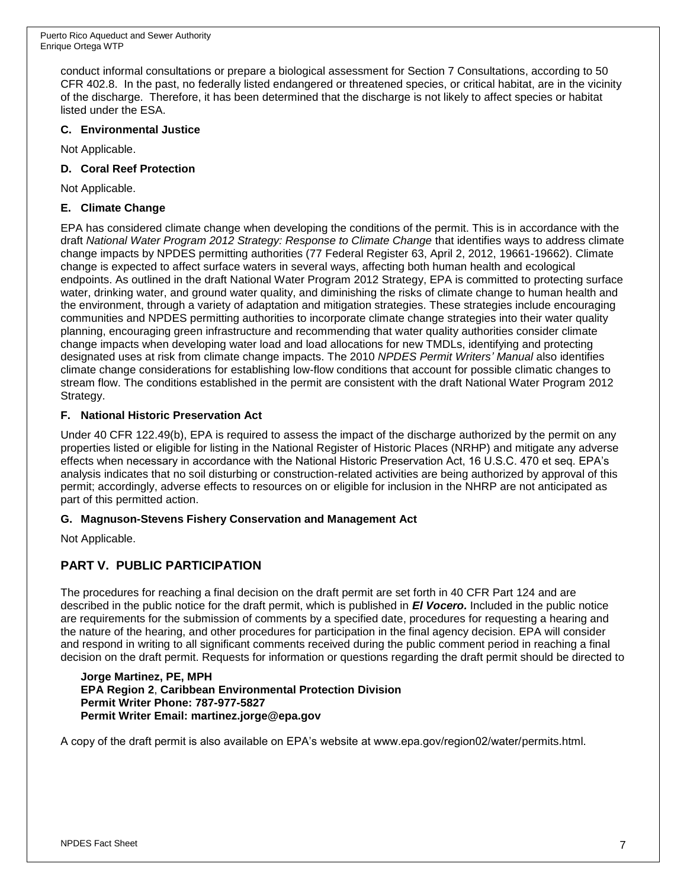conduct informal consultations or prepare a biological assessment for Section 7 Consultations, according to 50 CFR 402.8. In the past, no federally listed endangered or threatened species, or critical habitat, are in the vicinity of the discharge. Therefore, it has been determined that the discharge is not likely to affect species or habitat listed under the ESA.

### **C. Environmental Justice**

Not Applicable.

### **D. Coral Reef Protection**

Not Applicable.

### **E. Climate Change**

EPA has considered climate change when developing the conditions of the permit. This is in accordance with the draft *National Water Program 2012 Strategy: Response to Climate Change* that identifies ways to address climate change impacts by NPDES permitting authorities (77 Federal Register 63, April 2, 2012, 19661-19662). Climate change is expected to affect surface waters in several ways, affecting both human health and ecological endpoints. As outlined in the draft National Water Program 2012 Strategy, EPA is committed to protecting surface water, drinking water, and ground water quality, and diminishing the risks of climate change to human health and the environment, through a variety of adaptation and mitigation strategies. These strategies include encouraging communities and NPDES permitting authorities to incorporate climate change strategies into their water quality planning, encouraging green infrastructure and recommending that water quality authorities consider climate change impacts when developing water load and load allocations for new TMDLs, identifying and protecting designated uses at risk from climate change impacts. The 2010 *NPDES Permit Writers' Manual* also identifies climate change considerations for establishing low-flow conditions that account for possible climatic changes to stream flow. The conditions established in the permit are consistent with the draft National Water Program 2012 Strategy.

### **F. National Historic Preservation Act**

Under 40 CFR 122.49(b), EPA is required to assess the impact of the discharge authorized by the permit on any properties listed or eligible for listing in the National Register of Historic Places (NRHP) and mitigate any adverse effects when necessary in accordance with the National Historic Preservation Act, 16 U.S.C. 470 et seq. EPA's analysis indicates that no soil disturbing or construction-related activities are being authorized by approval of this permit; accordingly, adverse effects to resources on or eligible for inclusion in the NHRP are not anticipated as part of this permitted action.

### **G. Magnuson-Stevens Fishery Conservation and Management Act**

Not Applicable.

## **PART V. PUBLIC PARTICIPATION**

The procedures for reaching a final decision on the draft permit are set forth in 40 CFR Part 124 and are described in the public notice for the draft permit, which is published in *El Vocero.* Included in the public notice are requirements for the submission of comments by a specified date, procedures for requesting a hearing and the nature of the hearing, and other procedures for participation in the final agency decision. EPA will consider and respond in writing to all significant comments received during the public comment period in reaching a final decision on the draft permit. Requests for information or questions regarding the draft permit should be directed to

#### **Jorge Martinez, PE, MPH EPA Region 2**, **Caribbean Environmental Protection Division Permit Writer Phone: 787-977-5827 Permit Writer Email: martinez.jorge@epa.gov**

A copy of the draft permit is also available on EPA's website at www.epa.gov/region02/water/permits.html.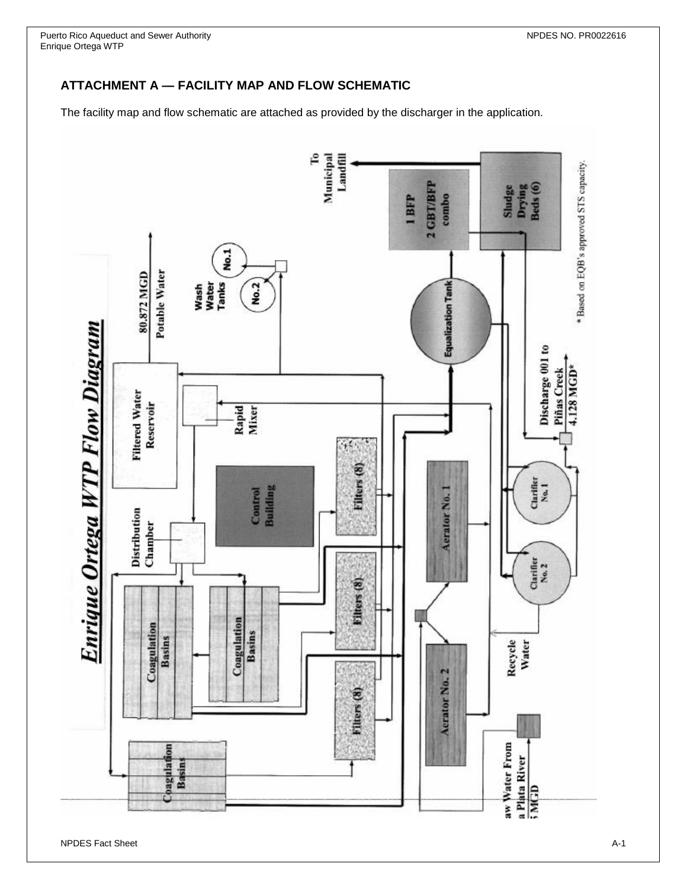## **ATTACHMENT A — FACILITY MAP AND FLOW SCHEMATIC**

The facility map and flow schematic are attached as provided by the discharger in the application.